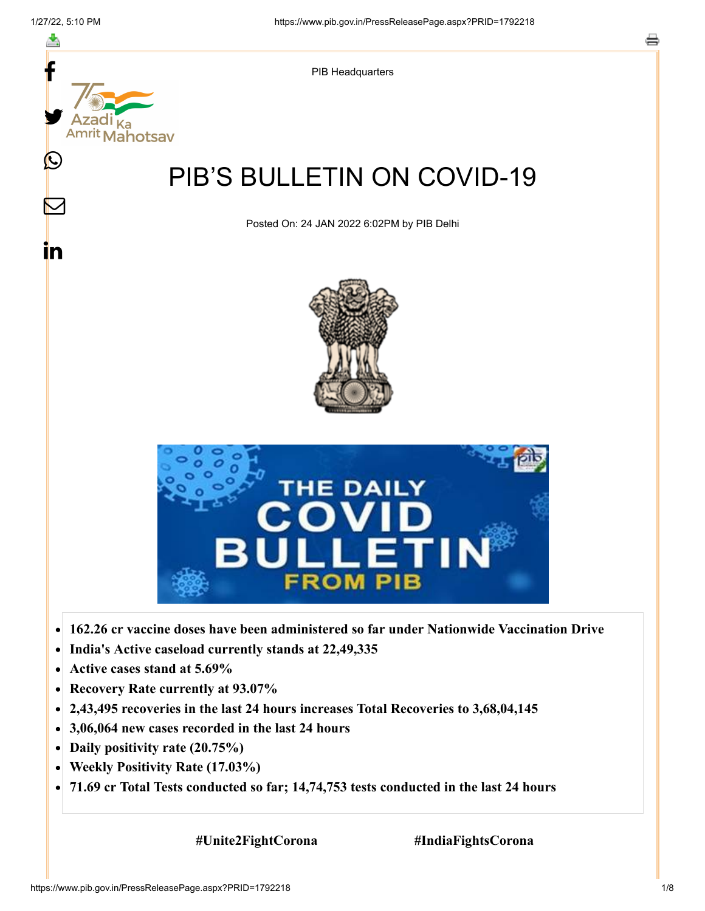f

Ŀ



- $\bullet$
- **India's Active caseload currently stands at 22,49,335**  $\bullet$
- **Active cases stand at 5.69%**  $\bullet$
- $\bullet$ **Recovery Rate currently at 93.07%**
- **2,43,495 recoveries in the last 24 hours increases Total Recoveries to 3,68,04,145**  $\bullet$
- **3,06,064 new cases recorded in the last 24 hours**  $\bullet$
- **Daily positivity rate (20.75%)**
- **Weekly Positivity Rate (17.03%)**  $\bullet$
- **71.69 cr Total Tests conducted so far; 14,74,753 tests conducted in the last 24 hours**  $\bullet$

 **#Unite2FightCorona #IndiaFightsCorona**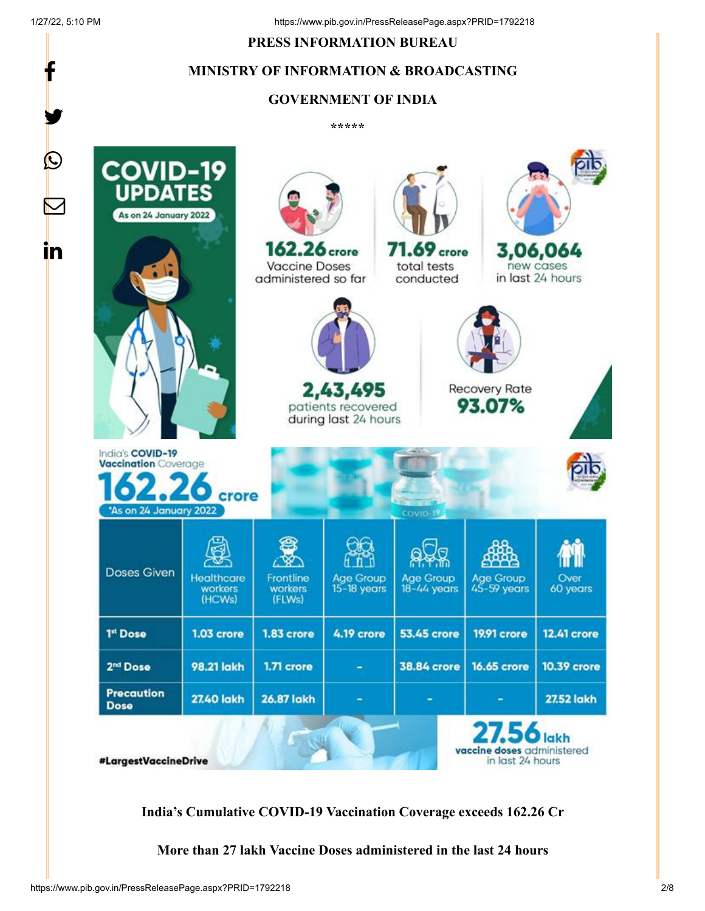f

y.

#### **PRESS INFORMATION BUREAU**

#### **MINISTRY OF INFORMATION & BROADCASTING**

#### **GOVERNMENT OF INDIA**

**\*\*\*\*\*** 



**India's Cumulative COVID-19 Vaccination Coverage exceeds 162.26 Cr**

**More than 27 lakh Vaccine Doses administered in the last 24 hours**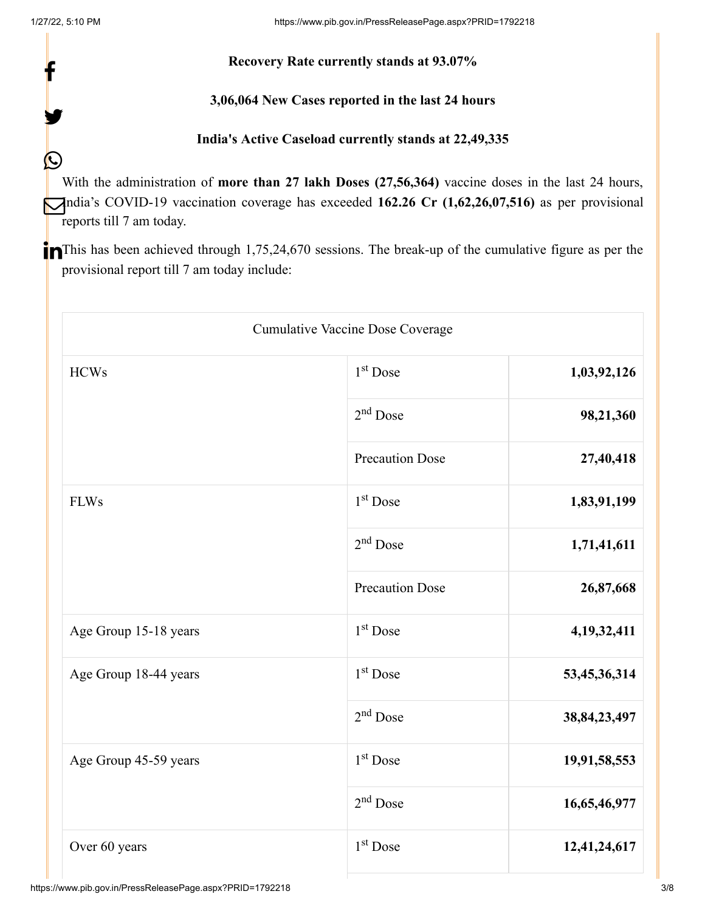f

y.

 $\bigcirc$ 

#### **Recovery Rate currently stands at 93.07%**

#### **3,06,064 New Cases reported in the last 24 hours**

## **India's Active Caseload currently stands at 22,49,335**

With the administration of **more than 27 lakh Doses (27,56,364)** vaccine doses in the last 24 hours, India's COVID-19 vaccination coverage has exceeded 162.26 Cr (1,62,26,07,516) as per provisional reports till 7 am today.

This has been achieved through 1,75,24,670 sessions. The break-up of the cumulative figure as per the provisional report till 7 am today include:

| Cumulative Vaccine Dose Coverage |                        |                 |
|----------------------------------|------------------------|-----------------|
| <b>HCWs</b>                      | 1 <sup>st</sup> Dose   | 1,03,92,126     |
|                                  | $2nd$ Dose             | 98,21,360       |
|                                  | <b>Precaution Dose</b> | 27,40,418       |
| <b>FLWs</b>                      | 1 <sup>st</sup> Dose   | 1,83,91,199     |
|                                  | $2nd$ Dose             | 1,71,41,611     |
|                                  | <b>Precaution Dose</b> | 26,87,668       |
| Age Group 15-18 years            | $1st$ Dose             | 4, 19, 32, 411  |
| Age Group 18-44 years            | $1st$ Dose             | 53,45,36,314    |
|                                  | $2nd$ Dose             | 38, 84, 23, 497 |
| Age Group 45-59 years            | 1 <sup>st</sup> Dose   | 19,91,58,553    |
|                                  | $2nd$ Dose             | 16,65,46,977    |
| Over 60 years                    | 1 <sup>st</sup> Dose   | 12,41,24,617    |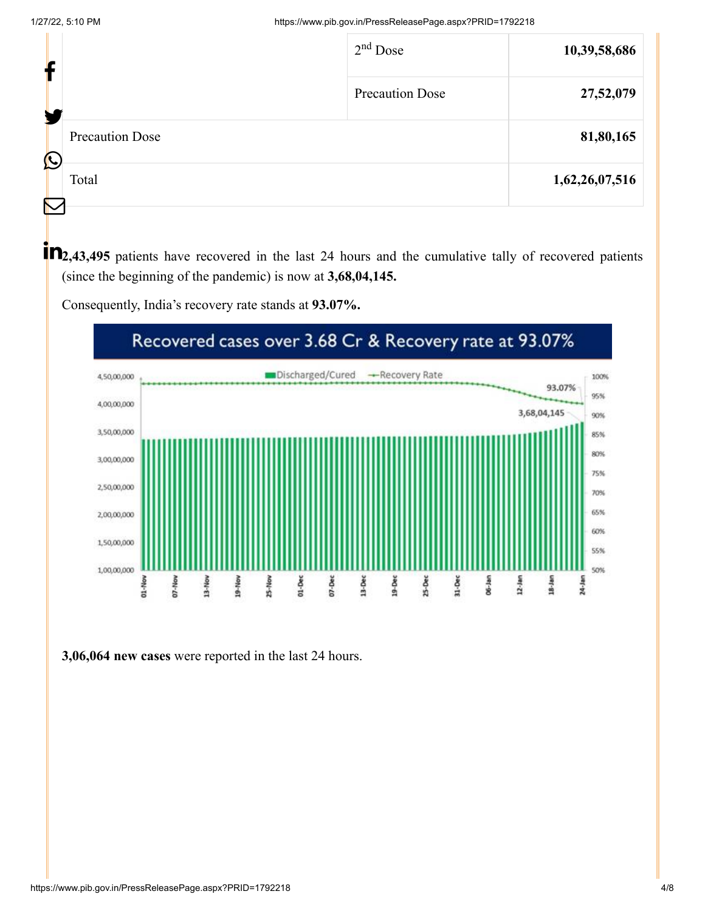| Ł                                    | $2nd$ Dose             | 10,39,58,686   |
|--------------------------------------|------------------------|----------------|
| ш                                    | <b>Precaution Dose</b> | 27,52,079      |
| <b>Precaution Dose</b><br>$\bigcirc$ |                        | 81,80,165      |
| Total                                |                        | 1,62,26,07,516 |
|                                      |                        |                |

**1 12**,43,495 patients have recovered in the last 24 hours and the cumulative tally of recovered patients (since the beginning of the pandemic) is now at **3,68,04,145.**

Consequently, India's recovery rate stands at **93.07%.**



**3,06,064 new cases** were reported in the last 24 hours.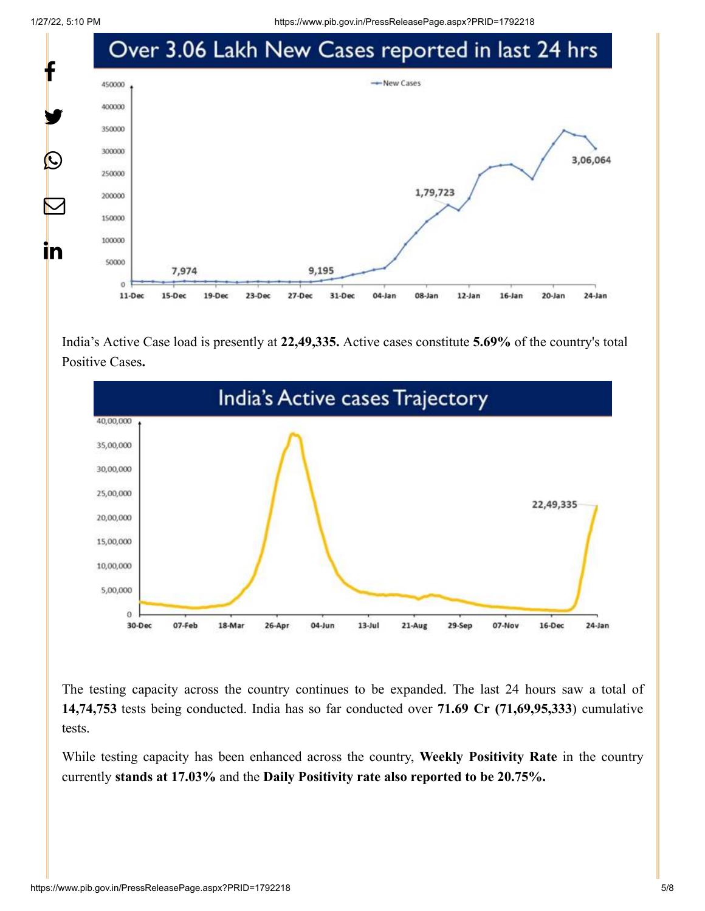1/27/22, 5:10 PM https://www.pib.gov.in/PressReleasePage.aspx?PRID=1792218



India's Active Case load is presently at **22,49,335.** Active cases constitute **5.69%** of the country's total Positive Cases**.**



The testing capacity across the country continues to be expanded. The last 24 hours saw a total of **14,74,753** tests being conducted. India has so far conducted over **71.69 Cr (71,69,95,333**) cumulative tests.

While testing capacity has been enhanced across the country, **Weekly Positivity Rate** in the country currently **stands at 17.03%** and the **Daily Positivity rate also reported to be 20.75%.**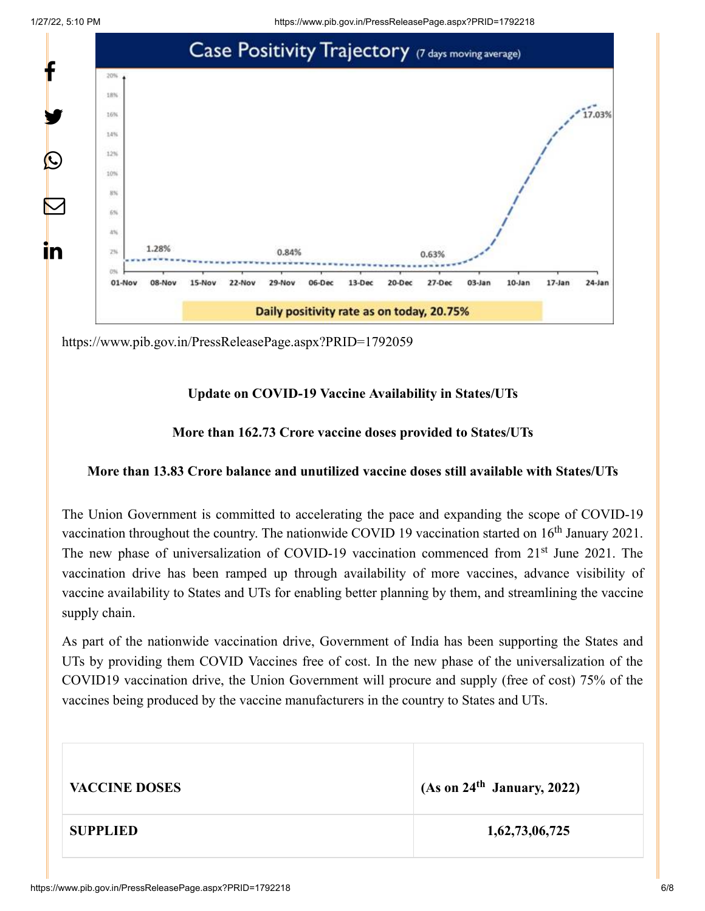1/27/22, 5:10 PM https://www.pib.gov.in/PressReleasePage.aspx?PRID=1792218



<https://www.pib.gov.in/PressReleasePage.aspx?PRID=1792059>

# **Update on COVID-19 Vaccine Availability in States/UTs**

### **More than 162.73 Crore vaccine doses provided to States/UTs**

## **More than 13.83 Crore balance and unutilized vaccine doses still available with States/UTs**

The Union Government is committed to accelerating the pace and expanding the scope of COVID-19 vaccination throughout the country. The nationwide COVID 19 vaccination started on  $16<sup>th</sup>$  January 2021. The new phase of universalization of COVID-19 vaccination commenced from 21<sup>st</sup> June 2021. The vaccination drive has been ramped up through availability of more vaccines, advance visibility of vaccine availability to States and UTs for enabling better planning by them, and streamlining the vaccine supply chain.

As part of the nationwide vaccination drive, Government of India has been supporting the States and UTs by providing them COVID Vaccines free of cost. In the new phase of the universalization of the COVID19 vaccination drive, the Union Government will procure and supply (free of cost) 75% of the vaccines being produced by the vaccine manufacturers in the country to States and UTs.

| <b>VACCINE DOSES</b> | (As on 24 <sup>th</sup> January, 2022) |
|----------------------|----------------------------------------|
| <b>SUPPLIED</b>      | 1,62,73,06,725                         |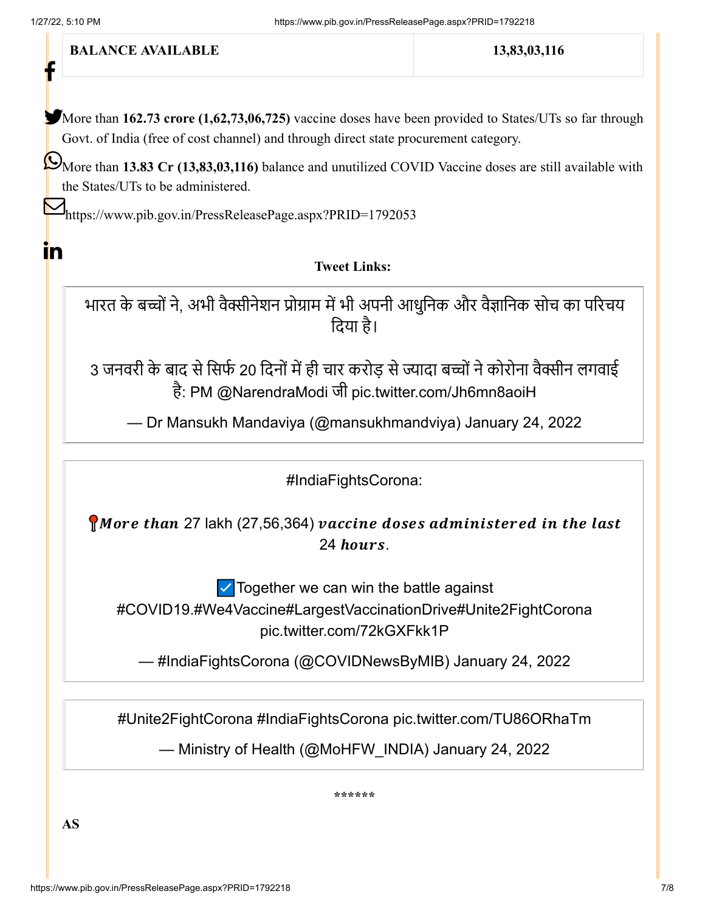**BALANCE AVAILABLE** 13,83,03,116 More than 162.73 crore (1,62,73,06,725) vaccine doses have been provided to States/UTs so far through Govt. of India (free of cost channel) and through direct state procurement category. More than **13.83 Cr (13,83,03,116)** balance and unutilized COVID Vaccine doses are still available with the States/UTs to be administered. M<https://www.pib.gov.in/PressReleasePage.aspx?PRID=1792053> **Tweet Links:** भारत के बच्चों ने, अभी वैक्सीनेशन प्रोग्राम में भी अपनी आधुनिक और वैज्ञानिक सोच का परिचय दिया है। 3 जनवरी के बाद से सिर्फ 20 दिनों में ही चार करोड़ से ज्यादा बच्चों ने कोरोना वैक्सीन लगवाई है: PM [@NarendraModi](https://twitter.com/narendramodi?ref_src=twsrc%5Etfw) जी [pic.twitter.com/Jh6mn8aoiH](https://t.co/Jh6mn8aoiH) — Dr Mansukh Mandaviya (@mansukhmandviya) [January 24, 2022](https://twitter.com/mansukhmandviya/status/1485520154108776452?ref_src=twsrc%5Etfw) [#IndiaFightsCorona:](https://twitter.com/hashtag/IndiaFightsCorona?src=hash&ref_src=twsrc%5Etfw) More than 27 lakh (27,56,364) vaccine doses administered in the last 24 hours. ☑️Together we can win the battle against [#COVID19](https://twitter.com/hashtag/COVID19?src=hash&ref_src=twsrc%5Etfw)[.#We4Vaccine](https://twitter.com/hashtag/We4Vaccine?src=hash&ref_src=twsrc%5Etfw)[#LargestVaccinationDrive](https://twitter.com/hashtag/LargestVaccinationDrive?src=hash&ref_src=twsrc%5Etfw)[#Unite2FightCorona](https://twitter.com/hashtag/Unite2FightCorona?src=hash&ref_src=twsrc%5Etfw) [pic.twitter.com/72kGXFkk1P](https://t.co/72kGXFkk1P) — #IndiaFightsCorona (@COVIDNewsByMIB) [January 24, 2022](https://twitter.com/COVIDNewsByMIB/status/1485496866884096002?ref_src=twsrc%5Etfw) [#Unite2FightCorona](https://twitter.com/hashtag/Unite2FightCorona?src=hash&ref_src=twsrc%5Etfw) [#IndiaFightsCorona](https://twitter.com/hashtag/IndiaFightsCorona?src=hash&ref_src=twsrc%5Etfw) [pic.twitter.com/TU86ORhaTm](https://t.co/TU86ORhaTm) — Ministry of Health (@MoHFW\_INDIA) [January 24, 2022](https://twitter.com/MoHFW_INDIA/status/1485532895444086784?ref_src=twsrc%5Etfw) f  $\mathbf{in}$ 

**\*\*\*\*\*\***

**AS**